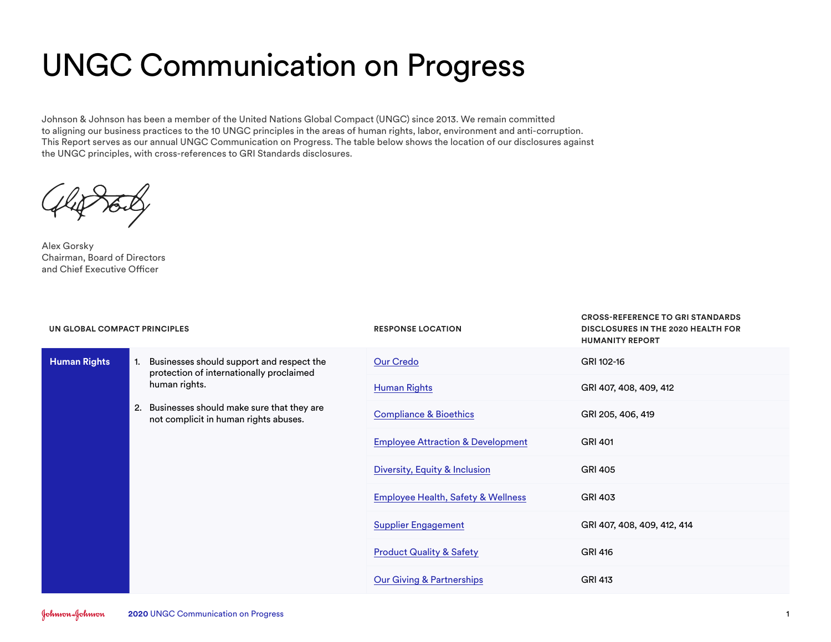## UNGC Communication on Progress

Johnson & Johnson has been a member of the United Nations Global Compact (UNGC) since 2013. We remain committed to aligning our business practices to the 10 UNGC principles in the areas of human rights, labor, environment and anti-corruption. This Report serves as our annual UNGC Communication on Progress. The table below shows the location of our disclosures against the UNGC principles, with cross-references to GRI Standards disclosures.

Alex Gorsky Chairman, Board of Directors and Chief Executive Officer

| UN GLOBAL COMPACT PRINCIPLES |                                                                                                        | <b>RESPONSE LOCATION</b>                      | <b>CROSS-REFERENCE TO GRI STANDARDS</b><br><b>DISCLOSURES IN THE 2020 HEALTH FOR</b><br><b>HUMANITY REPORT</b> |
|------------------------------|--------------------------------------------------------------------------------------------------------|-----------------------------------------------|----------------------------------------------------------------------------------------------------------------|
| <b>Human Rights</b>          | Businesses should support and respect the<br>protection of internationally proclaimed<br>human rights. | Our Credo                                     | GRI 102-16                                                                                                     |
|                              |                                                                                                        | <b>Human Rights</b>                           | GRI 407, 408, 409, 412                                                                                         |
|                              | Businesses should make sure that they are<br>2.<br>not complicit in human rights abuses.               | <b>Compliance &amp; Bioethics</b>             | GRI 205, 406, 419                                                                                              |
|                              |                                                                                                        | <b>Employee Attraction &amp; Development</b>  | <b>GRI 401</b>                                                                                                 |
|                              |                                                                                                        | Diversity, Equity & Inclusion                 | <b>GRI 405</b>                                                                                                 |
|                              |                                                                                                        | <b>Employee Health, Safety &amp; Wellness</b> | <b>GRI 403</b>                                                                                                 |
|                              |                                                                                                        | <b>Supplier Engagement</b>                    | GRI 407, 408, 409, 412, 414                                                                                    |
|                              |                                                                                                        | <b>Product Quality &amp; Safety</b>           | <b>GRI 416</b>                                                                                                 |
|                              |                                                                                                        | <b>Our Giving &amp; Partnerships</b>          | <b>GRI 413</b>                                                                                                 |

**CROSS-REFERENCE TO GRI STANDARDS**